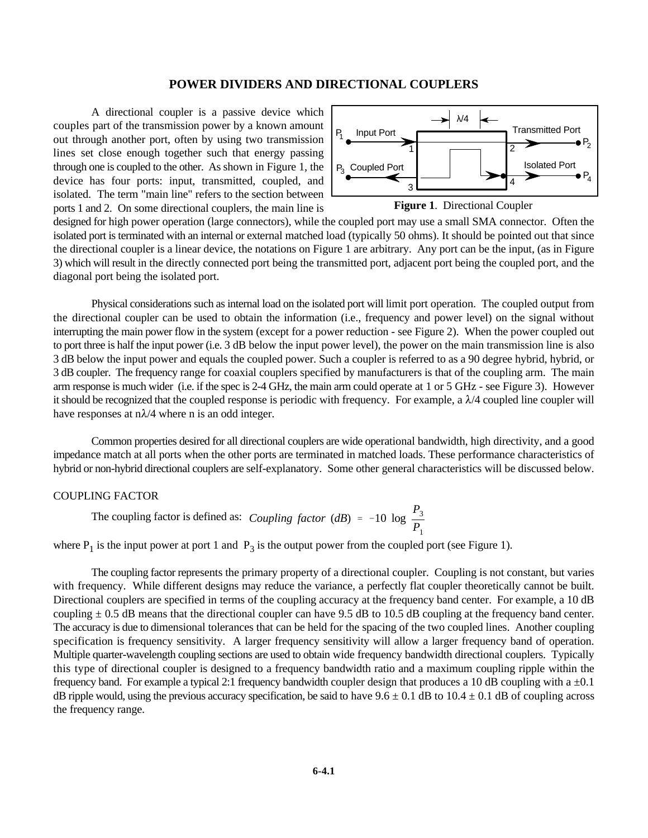# **POWER DIVIDERS AND DIRECTIONAL COUPLERS**

A directional coupler is a passive device which couples part of the transmission power by a known amount out through another port, often by using two transmission lines set close enough together such that energy passing through one is coupled to the other. As shown in Figure 1, the device has four ports: input, transmitted, coupled, and isolated. The term "main line" refers to the section between ports 1 and 2. On some directional couplers, the main line is





designed for high power operation (large connectors), while the coupled port may use a small SMA connector. Often the isolated port is terminated with an internal or external matched load (typically 50 ohms). It should be pointed out that since the directional coupler is a linear device, the notations on Figure 1 are arbitrary. Any port can be the input, (as in Figure 3) which will result in the directly connected port being the transmitted port, adjacent port being the coupled port, and the diagonal port being the isolated port.

Physical considerations such as internal load on the isolated port will limit port operation. The coupled output from the directional coupler can be used to obtain the information (i.e., frequency and power level) on the signal without interrupting the main power flow in the system (except for a power reduction - see Figure 2). When the power coupled out to port three is half the input power (i.e. 3 dB below the input power level), the power on the main transmission line is also 3 dB below the input power and equals the coupled power. Such a coupler is referred to as a 90 degree hybrid, hybrid, or 3 dB coupler. The frequency range for coaxial couplers specified by manufacturers is that of the coupling arm. The main arm response is much wider (i.e. if the spec is 2-4 GHz, the main arm could operate at 1 or 5 GHz - see Figure 3). However it should be recognized that the coupled response is periodic with frequency. For example, a  $\lambda/4$  coupled line coupler will have responses at  $n\lambda/4$  where n is an odd integer.

Common properties desired for all directional couplers are wide operational bandwidth, high directivity, and a good impedance match at all ports when the other ports are terminated in matched loads. These performance characteristics of hybrid or non-hybrid directional couplers are self-explanatory. Some other general characteristics will be discussed below.

# COUPLING FACTOR

*Coupling factor* (*dB*) = -10 log  $\frac{P_3}{P_1}$  $P<sub>1</sub>$ The coupling factor is defined as:

where  $P_1$  is the input power at port 1 and  $P_3$  is the output power from the coupled port (see Figure 1).

The coupling factor represents the primary property of a directional coupler. Coupling is not constant, but varies with frequency. While different designs may reduce the variance, a perfectly flat coupler theoretically cannot be built. Directional couplers are specified in terms of the coupling accuracy at the frequency band center. For example, a 10 dB coupling  $\pm$  0.5 dB means that the directional coupler can have 9.5 dB to 10.5 dB coupling at the frequency band center. The accuracy is due to dimensional tolerances that can be held for the spacing of the two coupled lines. Another coupling specification is frequency sensitivity. A larger frequency sensitivity will allow a larger frequency band of operation. Multiple quarter-wavelength coupling sections are used to obtain wide frequency bandwidth directional couplers. Typically this type of directional coupler is designed to a frequency bandwidth ratio and a maximum coupling ripple within the frequency band. For example a typical 2:1 frequency bandwidth coupler design that produces a 10 dB coupling with a  $\pm 0.1$ dB ripple would, using the previous accuracy specification, be said to have  $9.6 \pm 0.1$  dB to  $10.4 \pm 0.1$  dB of coupling across the frequency range.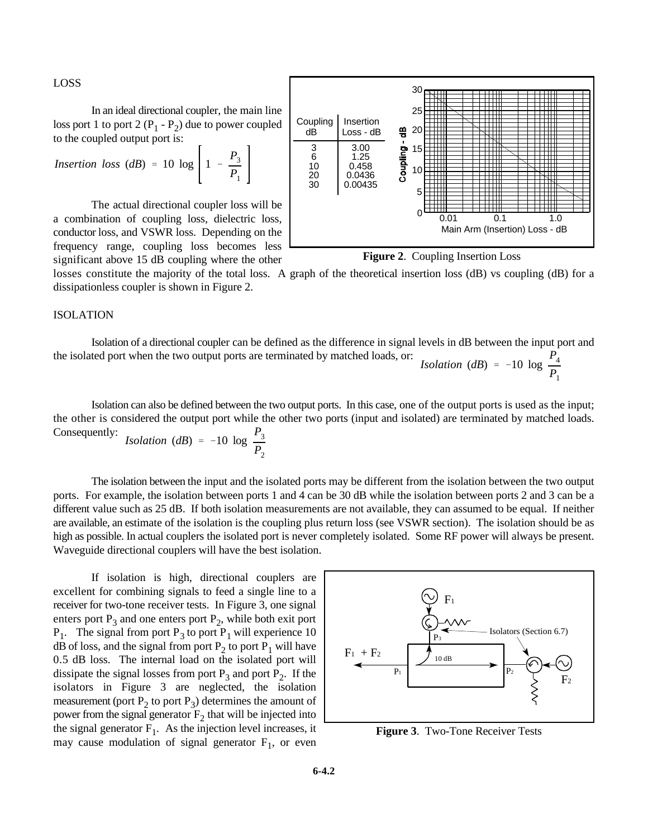LOSS

In an ideal directional coupler, the main line loss port 1 to port 2  $(P_1 - P_2)$  due to power coupled to the coupled output port is:  $\overline{1}$ 

Insertion loss (dB) = 10 log 
$$
\left[1 - \frac{P_3}{P_1}\right]
$$

The actual directional coupler loss will be a combination of coupling loss, dielectric loss, conductor loss, and VSWR loss. Depending on the frequency range, coupling loss becomes less significant above 15 dB coupling where the other





losses constitute the majority of the total loss. A graph of the theoretical insertion loss (dB) vs coupling (dB) for a dissipationless coupler is shown in Figure 2.

# ISOLATION

*Isolation* (*dB*) = -10 log  $\frac{P_4}{P_6}$ *P*1 Isolation of a directional coupler can be defined as the difference in signal levels in dB between the input port and the isolated port when the two output ports are terminated by matched loads, or:

*P*3 Isolation can also be defined between the two output ports. In this case, one of the output ports is used as the input; the other is considered the output port while the other two ports (input and isolated) are terminated by matched loads. Consequently:

*Isolation (dB)* = -10 log 
$$
\frac{13}{P_2}
$$

The isolation between the input and the isolated ports may be different from the isolation between the two output ports. For example, the isolation between ports 1 and 4 can be 30 dB while the isolation between ports 2 and 3 can be a different value such as 25 dB. If both isolation measurements are not available, they can assumed to be equal. If neither are available, an estimate of the isolation is the coupling plus return loss (see VSWR section). The isolation should be as high as possible. In actual couplers the isolated port is never completely isolated. Some RF power will always be present. Waveguide directional couplers will have the best isolation.

If isolation is high, directional couplers are excellent for combining signals to feed a single line to a receiver for two-tone receiver tests. In Figure 3, one signal enters port  $P_3$  and one enters port  $P_2$ , while both exit port  $P_1$ . The signal from port  $P_3$  to port  $P_1$  will experience 10 dB of loss, and the signal from port  $P_2$  to port  $P_1$  will have 0.5 dB loss. The internal load on the isolated port will dissipate the signal losses from port  $P_3$  and port  $P_2$ . If the isolators in Figure 3 are neglected, the isolation measurement (port  $P_2$  to port  $P_3$ ) determines the amount of power from the signal generator  $F_2$  that will be injected into the signal generator  $F_1$ . As the injection level increases, it may cause modulation of signal generator  $F_1$ , or even



**Figure 3**. Two-Tone Receiver Tests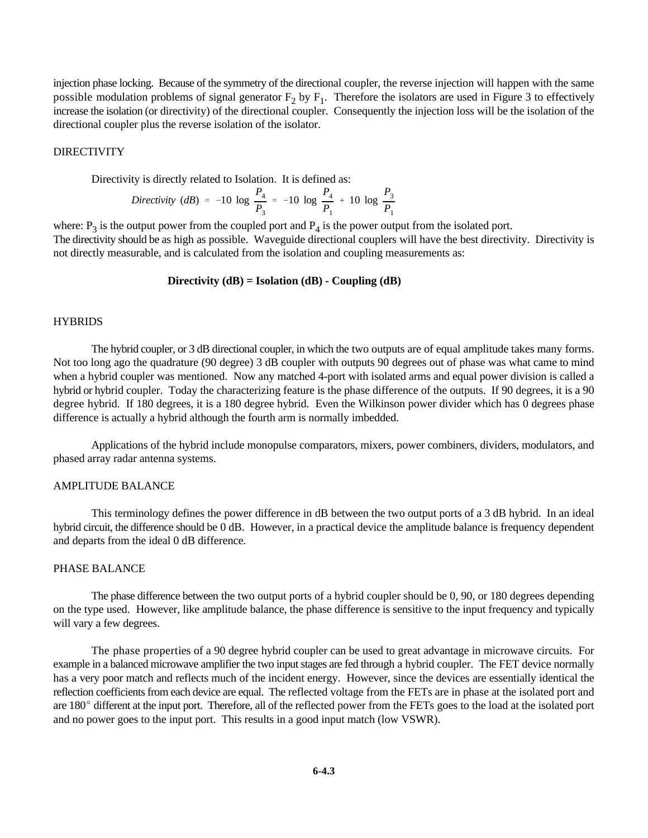injection phase locking. Because of the symmetry of the directional coupler, the reverse injection will happen with the same possible modulation problems of signal generator  $F_2$  by  $F_1$ . Therefore the isolators are used in Figure 3 to effectively increase the isolation (or directivity) of the directional coupler. Consequently the injection loss will be the isolation of the directional coupler plus the reverse isolation of the isolator.

# DIRECTIVITY

Directivity is directly related to Isolation. It is defined as:

*Directivity (dB)* = -10 log 
$$
\frac{P_4}{P_3}
$$
 = -10 log  $\frac{P_4}{P_1}$  + 10 log  $\frac{P_3}{P_1}$ 

where:  $P_3$  is the output power from the coupled port and  $P_4$  is the power output from the isolated port.

The directivity should be as high as possible. Waveguide directional couplers will have the best directivity. Directivity is not directly measurable, and is calculated from the isolation and coupling measurements as:

# **Directivity (dB) = Isolation (dB) - Coupling (dB)**

#### **HYBRIDS**

The hybrid coupler, or 3 dB directional coupler, in which the two outputs are of equal amplitude takes many forms. Not too long ago the quadrature (90 degree) 3 dB coupler with outputs 90 degrees out of phase was what came to mind when a hybrid coupler was mentioned. Now any matched 4-port with isolated arms and equal power division is called a hybrid or hybrid coupler. Today the characterizing feature is the phase difference of the outputs. If 90 degrees, it is a 90 degree hybrid. If 180 degrees, it is a 180 degree hybrid. Even the Wilkinson power divider which has 0 degrees phase difference is actually a hybrid although the fourth arm is normally imbedded.

Applications of the hybrid include monopulse comparators, mixers, power combiners, dividers, modulators, and phased array radar antenna systems.

#### AMPLITUDE BALANCE

This terminology defines the power difference in dB between the two output ports of a 3 dB hybrid. In an ideal hybrid circuit, the difference should be 0 dB. However, in a practical device the amplitude balance is frequency dependent and departs from the ideal 0 dB difference.

#### PHASE BALANCE

The phase difference between the two output ports of a hybrid coupler should be 0, 90, or 180 degrees depending on the type used. However, like amplitude balance, the phase difference is sensitive to the input frequency and typically will vary a few degrees.

The phase properties of a 90 degree hybrid coupler can be used to great advantage in microwave circuits. For example in a balanced microwave amplifier the two input stages are fed through a hybrid coupler. The FET device normally has a very poor match and reflects much of the incident energy. However, since the devices are essentially identical the reflection coefficients from each device are equal. The reflected voltage from the FETs are in phase at the isolated port and are 180° different at the input port. Therefore, all of the reflected power from the FETs goes to the load at the isolated port and no power goes to the input port. This results in a good input match (low VSWR).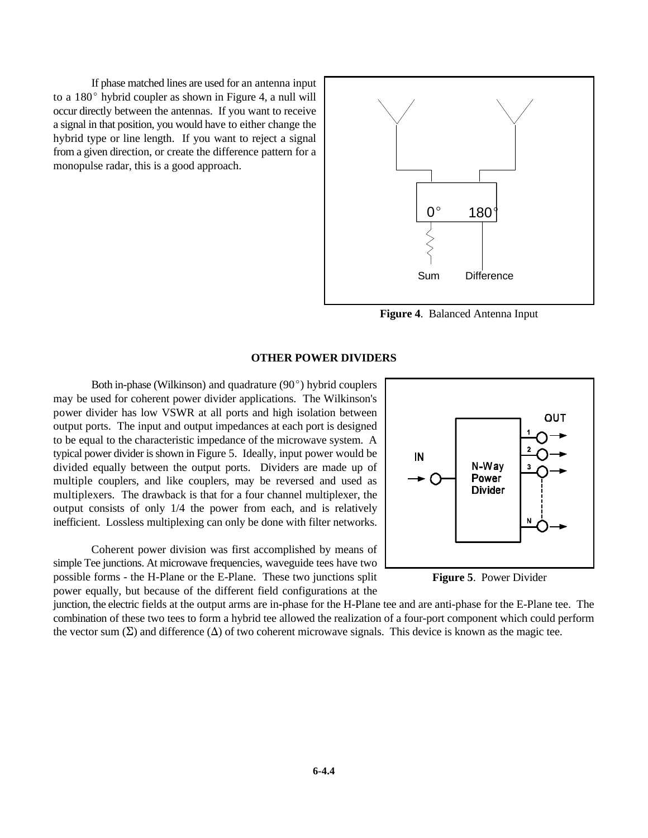If phase matched lines are used for an antenna input to a  $180^{\circ}$  hybrid coupler as shown in Figure 4, a null will occur directly between the antennas. If you want to receive a signal in that position, you would have to either change the hybrid type or line length. If you want to reject a signal from a given direction, or create the difference pattern for a monopulse radar, this is a good approach.



**Figure 4**. Balanced Antenna Input

### **OTHER POWER DIVIDERS**

Both in-phase (Wilkinson) and quadrature  $(90^{\circ})$  hybrid couplers may be used for coherent power divider applications. The Wilkinson's power divider has low VSWR at all ports and high isolation between output ports. The input and output impedances at each port is designed to be equal to the characteristic impedance of the microwave system. A typical power divider is shown in Figure 5. Ideally, input power would be divided equally between the output ports. Dividers are made up of multiple couplers, and like couplers, may be reversed and used as multiplexers. The drawback is that for a four channel multiplexer, the output consists of only 1/4 the power from each, and is relatively inefficient. Lossless multiplexing can only be done with filter networks.

Coherent power division was first accomplished by means of simple Tee junctions. At microwave frequencies, waveguide tees have two possible forms - the H-Plane or the E-Plane. These two junctions split power equally, but because of the different field configurations at the



**Figure 5**. Power Divider

junction, the electric fields at the output arms are in-phase for the H-Plane tee and are anti-phase for the E-Plane tee. The combination of these two tees to form a hybrid tee allowed the realization of a four-port component which could perform the vector sum  $(\Sigma)$  and difference  $(\Delta)$  of two coherent microwave signals. This device is known as the magic tee.